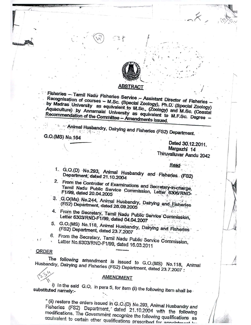

## ABSTRACT

Fisheries - Tamil Nadu Fisheries Service - Assistant Director of Fisheries Recognisation of courses - M.Sc. (Special Zoology), Ph.D. (Special Zoology) by Madras University as equivalent to M.Sc., (Zoology) and M.Sc. (Coastal Aquaculture) by Annamalai University as equivalent to M.F.Sc. Degree -Recommendation of the Committee - Amendments issued.

Animal Husbandry, Dairying and Fisheries (FS2) Department.

G.O.(MS) No.164

Dated 30.12.2011. Margazhi 14 Thiruvalluvar Aandu 2042

Rear

- 1. G.O.(D) No.293, Animal Husbandry and Fisheries (FS2) Department, dated 21.10.2004
- 2. From the Controller of Examinations and Secretary-in-charge, Tamil Nadu Public Service Commission, Letter 6306/RND-F1/99, dated 20.04.2005
- 3. G.O(Ms) No.244, Animal Husbandry, Dairying and Eisheries (FS2) Department, dated 28.09.2005
- 4. From the Secretary, Tamil Nadu Public Service Commission, Letter 6303/RND-F1/99, dated 04.04.2007
- 5. G.O.(MS) No.118, Animal Husbandry, Dairying and Fisheries (FS2) Department, dated 23.7.2007
- 6. From the Secretary, Tamil Nadu Public Service Commission, Letter No.6303/RND-F1/99, dated 16.03.2011

## ORDER

The following amendment is issued to G.O.(MS) No.118, Animal Husbandry, Dairying and Fisheries (FS2) Department, dated 23.7.2007 :

## **AMENDMENT**

i) In the said G.O, in para 5, for item (ii) the following item shall be substituted namely:-

"(ii) restore the orders issued in G.O.(D) No.293, Animal Husbandry and Fisheries (FS2) Department, dated 21.10.2004 with the following modifications. The Government recognize the following qualifications as equivalent to certain other qualifications prescribed for annointer